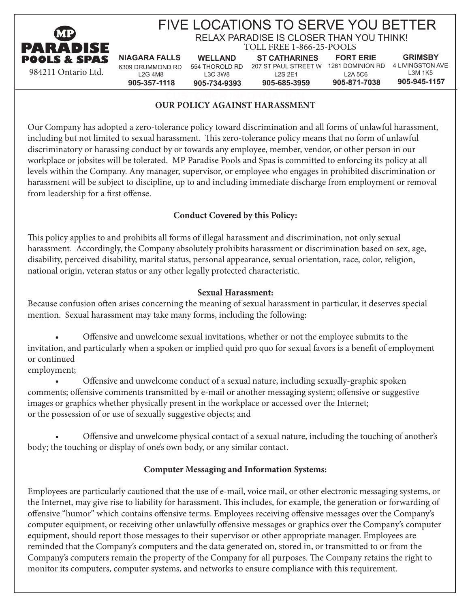

# FIVE LOCATIONS TO SERVE YOU BETTER

**GRIMSBY**

L3M 1K5 **905-945-1157**

TOLL FREE 1-866-25-POOLS RELAX PARADISE IS CLOSER THAN YOU THINK!

6309 DRUMMOND RD 554 THOROLD RD 207 ST PAUL STREET W 1261 DOMINION RD 4 LIVINGSTON AVE L2G 4M8 **905-357-1118 NIAGARA FALLS WELLAND** L3C 3W8 **905-734-9393 ST CATHARINES** L2S 2E1 **905-685-3959 FORT ERIE** L2A 5C6 **905-871-7038**

#### **CURSTOMER INFORMATION CONTROL OUR POLICY AGAINST HARASSMENT**

Our Company has adopted a zero-tolerance policy toward discrimination and all forms of unlawful harassment, including but not limited to sexual harassment. This zero-tolerance policy means that no form of unlawful discriminatory or harassing conduct by or towards any employee, member, vendor, or other person in our workplace or jobsites will be tolerated. MP Paradise Pools and Spas is committed to enforcing its policy at all levels within the Company. Any manager, supervisor, or employee who engages in prohibited discrimination or harassment will be subject to discipline, up to and including immediate discharge from employment or removal from leadership for a first offense.

## **Conduct Covered by this Policy:**

This policy applies to and prohibits all forms of illegal harassment and discrimination, not only sexual harassment. Accordingly, the Company absolutely prohibits harassment or discrimination based on sex, age, disability, perceived disability, marital status, personal appearance, sexual orientation, race, color, religion, national origin, veteran status or any other legally protected characteristic.

#### **Sexual Harassment:**

Because confusion often arises concerning the meaning of sexual harassment in particular, it deserves special mention. Sexual harassment may take many forms, including the following:

Offensive and unwelcome sexual invitations, whether or not the employee submits to the invitation, and particularly when a spoken or implied quid pro quo for sexual favors is a benefit of employment or continued

employment;

Offensive and unwelcome conduct of a sexual nature, including sexually-graphic spoken comments; offensive comments transmitted by e-mail or another messaging system; offensive or suggestive images or graphics whether physically present in the workplace or accessed over the Internet; or the possession of or use of sexually suggestive objects; and

Offensive and unwelcome physical contact of a sexual nature, including the touching of another's body; the touching or display of one's own body, or any similar contact.

## **Computer Messaging and Information Systems:**

Employees are particularly cautioned that the use of e-mail, voice mail, or other electronic messaging systems, or the Internet, may give rise to liability for harassment. This includes, for example, the generation or forwarding of offensive "humor" which contains offensive terms. Employees receiving offensive messages over the Company's computer equipment, or receiving other unlawfully offensive messages or graphics over the Company's computer equipment, should report those messages to their supervisor or other appropriate manager. Employees are reminded that the Company's computers and the data generated on, stored in, or transmitted to or from the Company's computers remain the property of the Company for all purposes. The Company retains the right to monitor its computers, computer systems, and networks to ensure compliance with this requirement.